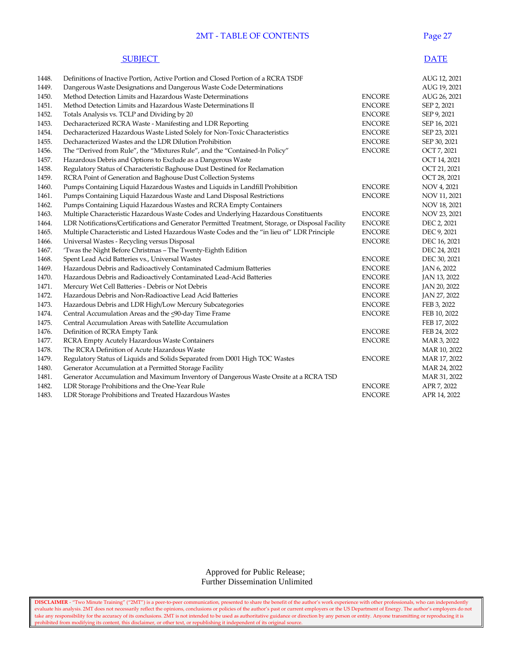## **2MT - TABLE OF CONTENTS** Pag

#### **SUBJECT** DATE

| 1448. | Definitions of Inactive Portion, Active Portion and Closed Portion of a RCRA TSDF                 |               | AUG 12, 2021 |
|-------|---------------------------------------------------------------------------------------------------|---------------|--------------|
| 1449. | Dangerous Waste Designations and Dangerous Waste Code Determinations                              |               | AUG 19, 2021 |
| 1450. | Method Detection Limits and Hazardous Waste Determinations                                        | <b>ENCORE</b> | AUG 26, 2021 |
| 1451. | Method Detection Limits and Hazardous Waste Determinations II                                     | <b>ENCORE</b> | SEP 2, 2021  |
| 1452. | Totals Analysis vs. TCLP and Dividing by 20                                                       | <b>ENCORE</b> | SEP 9, 2021  |
| 1453. | Decharacterized RCRA Waste - Manifesting and LDR Reporting                                        | <b>ENCORE</b> | SEP 16, 2021 |
| 1454. | Decharacterized Hazardous Waste Listed Solely for Non-Toxic Characteristics                       | <b>ENCORE</b> | SEP 23, 2021 |
| 1455. | Decharacterized Wastes and the LDR Dilution Prohibition                                           | <b>ENCORE</b> | SEP 30, 2021 |
| 1456. | The "Derived from Rule", the "Mixtures Rule", and the "Contained-In Policy"                       | <b>ENCORE</b> | OCT 7, 2021  |
| 1457. | Hazardous Debris and Options to Exclude as a Dangerous Waste                                      |               | OCT 14, 2021 |
| 1458. | Regulatory Status of Characteristic Baghouse Dust Destined for Reclamation                        |               | OCT 21, 2021 |
| 1459. | RCRA Point of Generation and Baghouse Dust Collection Systems                                     |               | OCT 28, 2021 |
| 1460. | Pumps Containing Liquid Hazardous Wastes and Liquids in Landfill Prohibition                      | <b>ENCORE</b> | NOV 4, 2021  |
| 1461. | Pumps Containing Liquid Hazardous Waste and Land Disposal Restrictions                            | <b>ENCORE</b> | NOV 11, 2021 |
| 1462. | Pumps Containing Liquid Hazardous Wastes and RCRA Empty Containers                                |               | NOV 18, 2021 |
| 1463. | Multiple Characteristic Hazardous Waste Codes and Underlying Hazardous Constituents               | <b>ENCORE</b> | NOV 23, 2021 |
| 1464. | LDR Notifications/Certifications and Generator Permitted Treatment, Storage, or Disposal Facility | <b>ENCORE</b> | DEC 2, 2021  |
| 1465. | Multiple Characteristic and Listed Hazardous Waste Codes and the "in lieu of" LDR Principle       | <b>ENCORE</b> | DEC 9, 2021  |
| 1466. | Universal Wastes - Recycling versus Disposal                                                      | <b>ENCORE</b> | DEC 16, 2021 |
| 1467. | 'Twas the Night Before Christmas - The Twenty-Eighth Edition                                      |               | DEC 24, 2021 |
| 1468. | Spent Lead Acid Batteries vs., Universal Wastes                                                   | <b>ENCORE</b> | DEC 30, 2021 |
| 1469. | Hazardous Debris and Radioactively Contaminated Cadmium Batteries                                 | <b>ENCORE</b> | JAN 6, 2022  |
| 1470. | Hazardous Debris and Radioactively Contaminated Lead-Acid Batteries                               | <b>ENCORE</b> | JAN 13, 2022 |
| 1471. | Mercury Wet Cell Batteries - Debris or Not Debris                                                 | <b>ENCORE</b> | JAN 20, 2022 |
| 1472. | Hazardous Debris and Non-Radioactive Lead Acid Batteries                                          | <b>ENCORE</b> | JAN 27, 2022 |
| 1473. | Hazardous Debris and LDR High/Low Mercury Subcategories                                           | <b>ENCORE</b> | FEB 3, 2022  |
| 1474. | Central Accumulation Areas and the <90-day Time Frame                                             | <b>ENCORE</b> | FEB 10, 2022 |
| 1475. | Central Accumulation Areas with Satellite Accumulation                                            |               | FEB 17, 2022 |
| 1476. | Definition of RCRA Empty Tank                                                                     | <b>ENCORE</b> | FEB 24, 2022 |
| 1477. | RCRA Empty Acutely Hazardous Waste Containers                                                     | <b>ENCORE</b> | MAR 3, 2022  |
| 1478. | The RCRA Definition of Acute Hazardous Waste                                                      |               | MAR 10, 2022 |
| 1479. | Regulatory Status of Liquids and Solids Separated from D001 High TOC Wastes                       | <b>ENCORE</b> | MAR 17, 2022 |
| 1480. | Generator Accumulation at a Permitted Storage Facility                                            |               | MAR 24, 2022 |
| 1481. | Generator Accumulation and Maximum Inventory of Dangerous Waste Onsite at a RCRA TSD              |               | MAR 31, 2022 |
| 1482. | LDR Storage Prohibitions and the One-Year Rule                                                    | <b>ENCORE</b> | APR 7, 2022  |
| 1483. | LDR Storage Prohibitions and Treated Hazardous Wastes                                             | <b>ENCORE</b> | APR 14, 2022 |

### Approved for Public Release; Further Dissemination Unlimited

**DISCLAIMER** - "Two Minute Training" ("2MT") is a peer-to-peer communication, presented to share the benefit of the author's work experience with other professionals, who can independently evaluate his analysis. 2MT does not necessarily reflect the opinions, conclusions or policies of the author's past or current employers or the US Department of Energy. The author's employers do not take any responsibility for the accuracy of its conclusions. 2MT is not intended to be used as authoritative guidance or direction by any person or entity. Anyone transmitting or reproducing it is prohibited from modifying its content, this disclaimer, or other text, or republishing it independent of its original source.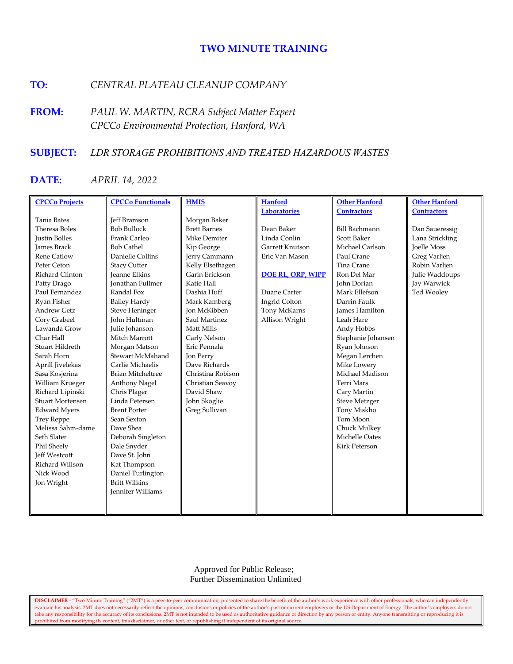# **TWO MINUTE TRAINING**

# **TO:** *CENTRAL PLATEAU CLEANUP COMPANY*

**FROM:** *PAUL W. MARTIN, RCRA Subject Matter Expert CPCCo Environmental Protection, Hanford, WA*

# **SUBJECT:** *LDR STORAGE PROHIBITIONS AND TREATED HAZARDOUS WASTES*

# **DATE:** *APRIL 14, 2022*

| <b>CPCCo Projects</b>   | <b>CPCCo Functionals</b> | <b>HMIS</b>         | <b>Hanford</b>           | <b>Other Hanford</b>  | <b>Other Hanford</b> |
|-------------------------|--------------------------|---------------------|--------------------------|-----------------------|----------------------|
|                         |                          |                     | <b>Laboratories</b>      | <b>Contractors</b>    | <b>Contractors</b>   |
| <b>Tania Bates</b>      | <b>Jeff Bramson</b>      | Morgan Baker        |                          |                       |                      |
| Theresa Boles           | <b>Bob Bullock</b>       | <b>Brett Barnes</b> | Dean Baker               | <b>Bill Bachmann</b>  | Dan Saueressig       |
| <b>Justin Bolles</b>    | Frank Carleo             | Mike Demiter        | Linda Conlin             | <b>Scott Baker</b>    | Lana Strickling      |
| <b>James Brack</b>      | <b>Bob Cathel</b>        | Kip George          | Garrett Knutson          | Michael Carlson       | <b>Joelle Moss</b>   |
| <b>Rene Catlow</b>      | Danielle Collins         | Jerry Cammann       | Eric Van Mason           | Paul Crane            | Greg Varljen         |
| Peter Ceton             | <b>Stacy Cutter</b>      | Kelly Elsethagen    |                          | Tina Crane            | Robin Varljen        |
| Richard Clinton         | <b>Jeanne Elkins</b>     | Garin Erickson      | <b>DOE RL, ORP, WIPP</b> | Ron Del Mar           | Julie Waddoups       |
| Patty Drago             | <b>Jonathan Fullmer</b>  | Katie Hall          |                          | John Dorian           | Jay Warwick          |
| Paul Fernandez          | Randal Fox               | Dashia Huff         | Duane Carter             | Mark Ellefson         | Ted Wooley           |
| Ryan Fisher             | <b>Bailey Hardy</b>      | Mark Kamberg        | Ingrid Colton            | Darrin Faulk          |                      |
| <b>Andrew Getz</b>      | <b>Steve Heninger</b>    | <b>Jon McKibben</b> | Tony McKarns             | <b>James Hamilton</b> |                      |
| Corv Grabeel            | John Hultman             | Saul Martinez       | Allison Wright           | Leah Hare             |                      |
| Lawanda Grow            | Julie Johanson           | Matt Mills          |                          | Andy Hobbs            |                      |
| Char Hall               | Mitch Marrott            | Carly Nelson        |                          | Stephanie Johansen    |                      |
| Stuart Hildreth         | Morgan Matson            | Eric Pennala        |                          | Ryan Johnson          |                      |
| Sarah Horn              | Stewart McMahand         | Jon Perry           |                          | Megan Lerchen         |                      |
| Aprill Jivelekas        | Carlie Michaelis         | Dave Richards       |                          | Mike Lowery           |                      |
| Sasa Kosjerina          | <b>Brian Mitcheltree</b> | Christina Robison   |                          | Michael Madison       |                      |
| William Krueger         | Anthony Nagel            | Christian Seavoy    |                          | <b>Terri Mars</b>     |                      |
| Richard Lipinski        | Chris Plager             | David Shaw          |                          | Cary Martin           |                      |
| <b>Stuart Mortensen</b> | Linda Petersen           | John Skoglie        |                          | <b>Steve Metzger</b>  |                      |
| <b>Edward Myers</b>     | <b>Brent Porter</b>      | Greg Sullivan       |                          | Tony Miskho           |                      |
| <b>Trey Reppe</b>       | Sean Sexton              |                     |                          | Tom Moon              |                      |
| Melissa Sahm-dame       | Dave Shea                |                     |                          | Chuck Mulkey          |                      |
| Seth Slater             | Deborah Singleton        |                     |                          | Michelle Oates        |                      |
| Phil Sheely             | Dale Snyder              |                     |                          | <b>Kirk Peterson</b>  |                      |
| <b>Jeff Westcott</b>    | Dave St. John            |                     |                          |                       |                      |
| Richard Willson         | Kat Thompson             |                     |                          |                       |                      |
| Nick Wood               | Daniel Turlington        |                     |                          |                       |                      |
| Jon Wright              | <b>Britt Wilkins</b>     |                     |                          |                       |                      |
|                         | <b>Jennifer Williams</b> |                     |                          |                       |                      |
|                         |                          |                     |                          |                       |                      |
|                         |                          |                     |                          |                       |                      |

 Approved for Public Release; Further Dissemination Unlimited

**DISCLAIMER** - "Two Minute Training" ("2MT") is a peer-to-peer communication, presented to share the benefit of the author's work experience with other professionals, who can independently evaluate his analysis. 2MT does not necessarily reflect the opinions, conclusions or policies of the author's past or current employers or the US Department of Energy. The author's employers do not take any responsibility for the accuracy of its conclusions. 2MT is not intended to be used as authoritative guidance or direction by any person or entity. Anyone transmitting or reproducing it is prohibited from modifying its content, this disclaimer, or other text, or republishing it independent of its original source.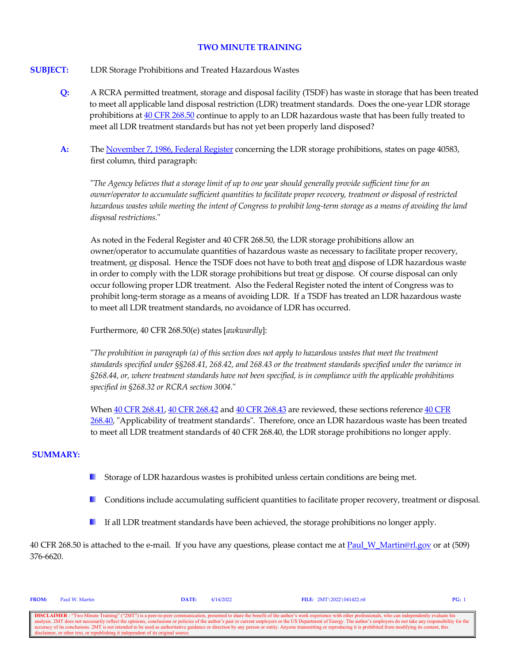#### **TWO MINUTE TRAINING**

#### **SUBJECT:** LDR Storage Prohibitions and Treated Hazardous Wastes

- **Q:** A RCRA permitted treatment, storage and disposal facility (TSDF) has waste in storage that has been treated to meet all applicable land disposal restriction (LDR) treatment standards. Does the one-year LDR storage prohibitions at [40 CFR 268.50](https://www.govinfo.gov/content/pkg/CFR-2021-title40-vol29/xml/CFR-2021-title40-vol29-sec268-50.xml) continue to apply to an LDR hazardous waste that has been fully treated to meet all LDR treatment standards but has not yet been properly land disposed?
- **A:** Th[e November 7, 1986, Federal Register](https://www.govinfo.gov/content/pkg/FR-1986-11-07/pdf/FR-1986-11-07.pdf) concerning the LDR storage prohibitions, states on page 40583, first column, third paragraph:

"*The Agency believes that a storage limit of up to one year should generally provide sufficient time for an owner/operator to accumulate sufficient quantities to facilitate proper recovery, treatment or disposal of restricted hazardous wastes while meeting the intent of Congress to prohibit long-term storage as a means of avoiding the land disposal restrictions.*"

As noted in the Federal Register and 40 CFR 268.50, the LDR storage prohibitions allow an owner/operator to accumulate quantities of hazardous waste as necessary to facilitate proper recovery, treatment, or disposal. Hence the TSDF does not have to both treat and dispose of LDR hazardous waste in order to comply with the LDR storage prohibitions but treat or dispose. Of course disposal can only occur following proper LDR treatment. Also the Federal Register noted the intent of Congress was to prohibit long-term storage as a means of avoiding LDR. If a TSDF has treated an LDR hazardous waste to meet all LDR treatment standards, no avoidance of LDR has occurred.

Furthermore, 40 CFR 268.50(e) states [*awkwardly*]:

"*The prohibition in paragraph (a) of this section does not apply to hazardous wastes that meet the treatment standards specified under §§268.41, 268.42, and 268.43 or the treatment standards specified under the variance in §268.44, or, where treatment standards have not been specified, is in compliance with the applicable prohibitions specified in §268.32 or RCRA section 3004.*"

When  $40$  CFR 268.41,  $40$  [CFR 268.42](https://www.govinfo.gov/content/pkg/CFR-2021-title40-vol29/xml/CFR-2021-title40-vol29-sec268-42.xml) and  $40$  CFR 268.43 are reviewed, these sections reference  $40$  CFR [268.40,](https://www.govinfo.gov/content/pkg/CFR-2021-title40-vol29/xml/CFR-2021-title40-vol29-sec268-40.xml) "Applicability of treatment standards". Therefore, once an LDR hazardous waste has been treated to meet all LDR treatment standards of 40 CFR 268.40, the LDR storage prohibitions no longer apply.

#### **SUMMARY:**

- a pro Storage of LDR hazardous wastes is prohibited unless certain conditions are being met.
- **Conditions include accumulating sufficient quantities to facilitate proper recovery, treatment or disposal.**
- If all LDR treatment standards have been achieved, the storage prohibitions no longer apply. **I**

40 CFR 268.50 is attached to the e-mail. If you have any questions, please contact me a[t Paul\\_W\\_Martin@rl.gov](mailto:Paul_W_Martin@rl.gov?subject=Two%20Minute%20Training%20Question) or at (509) 376-6620.

| <b>FROM:</b> | Paul W. Martin                                                                    | DATE: | 4/14/2022 | FILE: $2MT \ 2022 \ 041422.rtf$                                                                                                                                                                                          | PG: |
|--------------|-----------------------------------------------------------------------------------|-------|-----------|--------------------------------------------------------------------------------------------------------------------------------------------------------------------------------------------------------------------------|-----|
|              |                                                                                   |       |           |                                                                                                                                                                                                                          |     |
|              |                                                                                   |       |           | <b>DISCLAIMER</b> - "Two Minute Training" ("2MT") is a peer-to-peer communication, presented to share the benefit of the author's work experience with other professionals, who can independently evaluate his           |     |
|              |                                                                                   |       |           | analysis. 2MT does not necessarily reflect the opinions, conclusions or policies of the author's past or current employers or the US Department of Energy. The author's employers do not take any responsibility for the |     |
|              |                                                                                   |       |           | accuracy of its conclusions. 2MT is not intended to be used as authoritative guidance or direction by any person or entity. Anyone transmitting or reproducing it is prohibited from modifying its content, this         |     |
|              | disclaimer, or other text, or republishing it independent of its original source. |       |           |                                                                                                                                                                                                                          |     |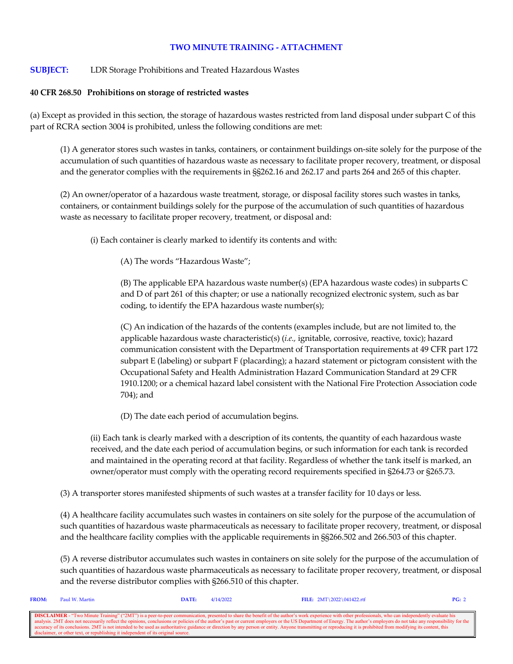## **TWO MINUTE TRAINING - ATTACHMENT**

### **SUBJECT:** LDR Storage Prohibitions and Treated Hazardous Wastes

#### **40 CFR 268.50 Prohibitions on storage of restricted wastes**

(a) Except as provided in this section, the storage of hazardous wastes restricted from land disposal under subpart C of this part of RCRA section 3004 is prohibited, unless the following conditions are met:

(1) A generator stores such wastes in tanks, containers, or containment buildings on-site solely for the purpose of the accumulation of such quantities of hazardous waste as necessary to facilitate proper recovery, treatment, or disposal and the generator complies with the requirements in §§262.16 and 262.17 and parts 264 and 265 of this chapter.

(2) An owner/operator of a hazardous waste treatment, storage, or disposal facility stores such wastes in tanks, containers, or containment buildings solely for the purpose of the accumulation of such quantities of hazardous waste as necessary to facilitate proper recovery, treatment, or disposal and:

(i) Each container is clearly marked to identify its contents and with:

(A) The words "Hazardous Waste";

(B) The applicable EPA hazardous waste number(s) (EPA hazardous waste codes) in subparts C and D of part 261 of this chapter; or use a nationally recognized electronic system, such as bar coding, to identify the EPA hazardous waste number(s);

(C) An indication of the hazards of the contents (examples include, but are not limited to, the applicable hazardous waste characteristic(s) (*i.e.,* ignitable, corrosive, reactive, toxic); hazard communication consistent with the Department of Transportation requirements at 49 CFR part 172 subpart E (labeling) or subpart F (placarding); a hazard statement or pictogram consistent with the Occupational Safety and Health Administration Hazard Communication Standard at 29 CFR 1910.1200; or a chemical hazard label consistent with the National Fire Protection Association code 704); and

(D) The date each period of accumulation begins.

(ii) Each tank is clearly marked with a description of its contents, the quantity of each hazardous waste received, and the date each period of accumulation begins, or such information for each tank is recorded and maintained in the operating record at that facility. Regardless of whether the tank itself is marked, an owner/operator must comply with the operating record requirements specified in §264.73 or §265.73.

(3) A transporter stores manifested shipments of such wastes at a transfer facility for 10 days or less.

(4) A healthcare facility accumulates such wastes in containers on site solely for the purpose of the accumulation of such quantities of hazardous waste pharmaceuticals as necessary to facilitate proper recovery, treatment, or disposal and the healthcare facility complies with the applicable requirements in §§266.502 and 266.503 of this chapter.

(5) A reverse distributor accumulates such wastes in containers on site solely for the purpose of the accumulation of such quantities of hazardous waste pharmaceuticals as necessary to facilitate proper recovery, treatment, or disposal and the reverse distributor complies with §266.510 of this chapter.

| <b>FROM:</b> | Paul W. Martin                                                                    | <b>DATE:</b> | 4/14/2022 | FILE: $2MT \ 2022 \ 041422.rtf$                                                                                                                                                                                                                                                                                                                                                                                                                                                                                                                                                                                                                                | PG: 2 |
|--------------|-----------------------------------------------------------------------------------|--------------|-----------|----------------------------------------------------------------------------------------------------------------------------------------------------------------------------------------------------------------------------------------------------------------------------------------------------------------------------------------------------------------------------------------------------------------------------------------------------------------------------------------------------------------------------------------------------------------------------------------------------------------------------------------------------------------|-------|
|              | disclaimer, or other text, or republishing it independent of its original source. |              |           | <b>DISCLAIMER</b> - "Two Minute Training" ("2MT") is a peer-to-peer communication, presented to share the benefit of the author's work experience with other professionals, who can independently evaluate his<br>analysis. 2MT does not necessarily reflect the opinions, conclusions or policies of the author's past or current employers or the US Department of Energy. The author's employers do not take any responsibility for the<br>accuracy of its conclusions. 2MT is not intended to be used as authoritative guidance or direction by any person or entity. Anyone transmitting or reproducing it is prohibited from modifying its content, this |       |